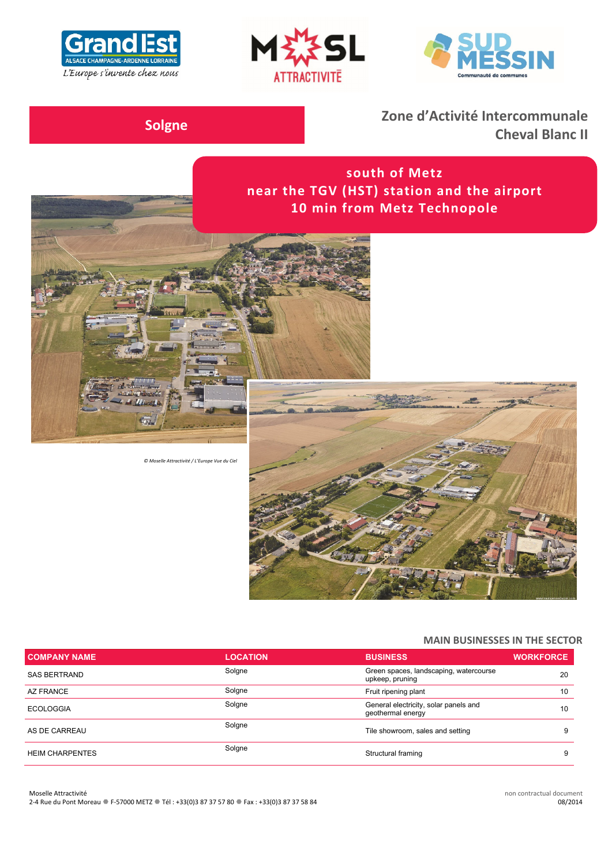





**Solgne Zone d'Activité Intercommunale Cheval Blanc II**

> **south of Metz near the TGV (HST) station and the airport 10 min from Metz Technopole**





#### **MAIN BUSINESSES IN THE SECTOR**

| <b>COMPANY NAME</b>    | <b>LOCATION</b> | <b>BUSINESS</b>                                            | <b>WORKFORCE</b> |
|------------------------|-----------------|------------------------------------------------------------|------------------|
| <b>SAS BERTRAND</b>    | Solgne          | Green spaces, landscaping, watercourse<br>upkeep, pruning  | 20               |
| AZ FRANCE              | Solgne          | Fruit ripening plant                                       | 10               |
| <b>ECOLOGGIA</b>       | Solgne          | General electricity, solar panels and<br>geothermal energy | 10               |
| AS DE CARREAU          | Solgne          | Tile showroom, sales and setting                           |                  |
| <b>HEIM CHARPENTES</b> | Solgne          | Structural framing                                         |                  |